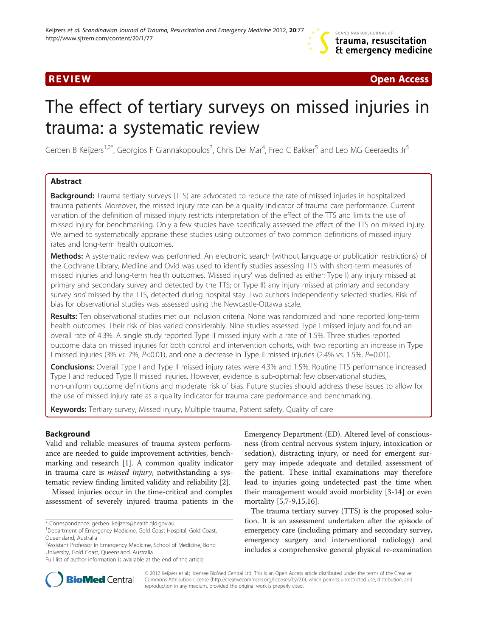R EVI EW Open Access

# The effect of tertiary surveys on missed injuries in trauma: a systematic review

Gerben B Keijzers<sup>1,2\*</sup>, Georgios F Giannakopoulos<sup>3</sup>, Chris Del Mar<sup>4</sup>, Fred C Bakker<sup>5</sup> and Leo MG Geeraedts Jr<sup>5</sup>

# Abstract

**Background:** Trauma tertiary surveys (TTS) are advocated to reduce the rate of missed injuries in hospitalized trauma patients. Moreover, the missed injury rate can be a quality indicator of trauma care performance. Current variation of the definition of missed injury restricts interpretation of the effect of the TTS and limits the use of missed injury for benchmarking. Only a few studies have specifically assessed the effect of the TTS on missed injury. We aimed to systematically appraise these studies using outcomes of two common definitions of missed injury rates and long-term health outcomes.

Methods: A systematic review was performed. An electronic search (without language or publication restrictions) of the Cochrane Library, Medline and Ovid was used to identify studies assessing TTS with short-term measures of missed injuries and long-term health outcomes. 'Missed injury' was defined as either: Type I) any injury missed at primary and secondary survey and detected by the TTS; or Type II) any injury missed at primary and secondary survey and missed by the TTS, detected during hospital stay. Two authors independently selected studies. Risk of bias for observational studies was assessed using the Newcastle-Ottawa scale.

Results: Ten observational studies met our inclusion criteria. None was randomized and none reported long-term health outcomes. Their risk of bias varied considerably. Nine studies assessed Type I missed injury and found an overall rate of 4.3%. A single study reported Type II missed injury with a rate of 1.5%. Three studies reported outcome data on missed injuries for both control and intervention cohorts, with two reporting an increase in Type I missed injuries (3% vs. 7%, P<0.01), and one a decrease in Type II missed injuries (2.4% vs. 1.5%, P=0.01).

**Conclusions:** Overall Type I and Type II missed injury rates were 4.3% and 1.5%. Routine TTS performance increased Type I and reduced Type II missed injuries. However, evidence is sub-optimal: few observational studies, non-uniform outcome definitions and moderate risk of bias. Future studies should address these issues to allow for the use of missed injury rate as a quality indicator for trauma care performance and benchmarking.

Keywords: Tertiary survey, Missed injury, Multiple trauma, Patient safety, Quality of care

# Background

Valid and reliable measures of trauma system performance are needed to guide improvement activities, benchmarking and research [[1\]](#page-8-0). A common quality indicator in trauma care is missed injury, notwithstanding a systematic review finding limited validity and reliability [[2\]](#page-8-0).

Missed injuries occur in the time-critical and complex assessment of severely injured trauma patients in the

Emergency Department (ED). Altered level of consciousness (from central nervous system injury, intoxication or sedation), distracting injury, or need for emergent surgery may impede adequate and detailed assessment of the patient. These initial examinations may therefore lead to injuries going undetected past the time when their management would avoid morbidity [[3-14](#page-8-0)] or even mortality [\[5,7](#page-8-0)-[9,15](#page-8-0),[16](#page-8-0)].

The trauma tertiary survey (TTS) is the proposed solution. It is an assessment undertaken after the episode of emergency care (including primary and secondary survey, emergency surgery and interventional radiology) and includes a comprehensive general physical re-examination



© 2012 Keijzers et al.; licensee BioMed Central Ltd. This is an Open Access article distributed under the terms of the Creative Commons Attribution License [\(http://creativecommons.org/licenses/by/2.0\)](http://creativecommons.org/licenses/by/2.0), which permits unrestricted use, distribution, and reproduction in any medium, provided the original work is properly cited.

<sup>\*</sup> Correspondence: [gerben\\_keijzers@health.qld.gov.au](mailto:gerben_keijzers@health.qld.gov.au) <sup>1</sup>

<sup>&</sup>lt;sup>1</sup>Department of Emergency Medicine, Gold Coast Hospital, Gold Coast, Queensland, Australia

<sup>&</sup>lt;sup>2</sup> Assistant Professor in Emergency Medicine, School of Medicine, Bond University, Gold Coast, Queensland, Australia

Full list of author information is available at the end of the article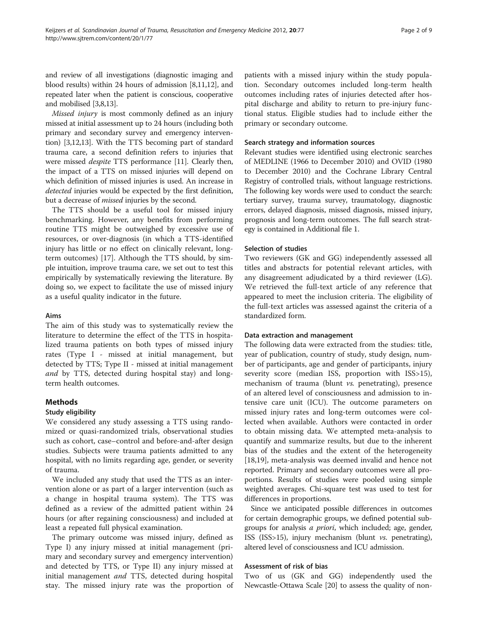and review of all investigations (diagnostic imaging and blood results) within 24 hours of admission [\[8,11,12](#page-8-0)], and repeated later when the patient is conscious, cooperative and mobilised [\[3,8,13\]](#page-8-0).

Missed injury is most commonly defined as an injury missed at initial assessment up to 24 hours (including both primary and secondary survey and emergency intervention) [\[3,12,13\]](#page-8-0). With the TTS becoming part of standard trauma care, a second definition refers to injuries that were missed despite TTS performance [\[11\]](#page-8-0). Clearly then, the impact of a TTS on missed injuries will depend on which definition of missed injuries is used. An increase in detected injuries would be expected by the first definition, but a decrease of missed injuries by the second.

The TTS should be a useful tool for missed injury benchmarking. However, any benefits from performing routine TTS might be outweighed by excessive use of resources, or over-diagnosis (in which a TTS-identified injury has little or no effect on clinically relevant, longterm outcomes) [[17\]](#page-8-0). Although the TTS should, by simple intuition, improve trauma care, we set out to test this empirically by systematically reviewing the literature. By doing so, we expect to facilitate the use of missed injury as a useful quality indicator in the future.

#### Aims

The aim of this study was to systematically review the literature to determine the effect of the TTS in hospitalized trauma patients on both types of missed injury rates (Type I - missed at initial management, but detected by TTS; Type II - missed at initial management and by TTS, detected during hospital stay) and longterm health outcomes.

# Methods

# Study eligibility

We considered any study assessing a TTS using randomized or quasi-randomized trials, observational studies such as cohort, case–control and before-and-after design studies. Subjects were trauma patients admitted to any hospital, with no limits regarding age, gender, or severity of trauma.

We included any study that used the TTS as an intervention alone or as part of a larger intervention (such as a change in hospital trauma system). The TTS was defined as a review of the admitted patient within 24 hours (or after regaining consciousness) and included at least a repeated full physical examination.

The primary outcome was missed injury, defined as Type I) any injury missed at initial management (primary and secondary survey and emergency intervention) and detected by TTS, or Type II) any injury missed at initial management and TTS, detected during hospital stay. The missed injury rate was the proportion of patients with a missed injury within the study population. Secondary outcomes included long-term health outcomes including rates of injuries detected after hospital discharge and ability to return to pre-injury functional status. Eligible studies had to include either the primary or secondary outcome.

#### Search strategy and information sources

Relevant studies were identified using electronic searches of MEDLINE (1966 to December 2010) and OVID (1980 to December 2010) and the Cochrane Library Central Registry of controlled trials, without language restrictions. The following key words were used to conduct the search: tertiary survey, trauma survey, traumatology, diagnostic errors, delayed diagnosis, missed diagnosis, missed injury, prognosis and long-term outcomes. The full search strategy is contained in Additional file [1.](#page-7-0)

#### Selection of studies

Two reviewers (GK and GG) independently assessed all titles and abstracts for potential relevant articles, with any disagreement adjudicated by a third reviewer (LG). We retrieved the full-text article of any reference that appeared to meet the inclusion criteria. The eligibility of the full-text articles was assessed against the criteria of a standardized form.

# Data extraction and management

The following data were extracted from the studies: title, year of publication, country of study, study design, number of participants, age and gender of participants, injury severity score (median ISS, proportion with ISS>15), mechanism of trauma (blunt vs. penetrating), presence of an altered level of consciousness and admission to intensive care unit (ICU). The outcome parameters on missed injury rates and long-term outcomes were collected when available. Authors were contacted in order to obtain missing data. We attempted meta-analysis to quantify and summarize results, but due to the inherent bias of the studies and the extent of the heterogeneity [[18,19\]](#page-8-0), meta-analysis was deemed invalid and hence not reported. Primary and secondary outcomes were all proportions. Results of studies were pooled using simple weighted averages. Chi-square test was used to test for differences in proportions.

Since we anticipated possible differences in outcomes for certain demographic groups, we defined potential subgroups for analysis *a priori*, which included; age, gender, ISS (ISS>15), injury mechanism (blunt vs. penetrating), altered level of consciousness and ICU admission.

# Assessment of risk of bias

Two of us (GK and GG) independently used the Newcastle-Ottawa Scale [\[20\]](#page-8-0) to assess the quality of non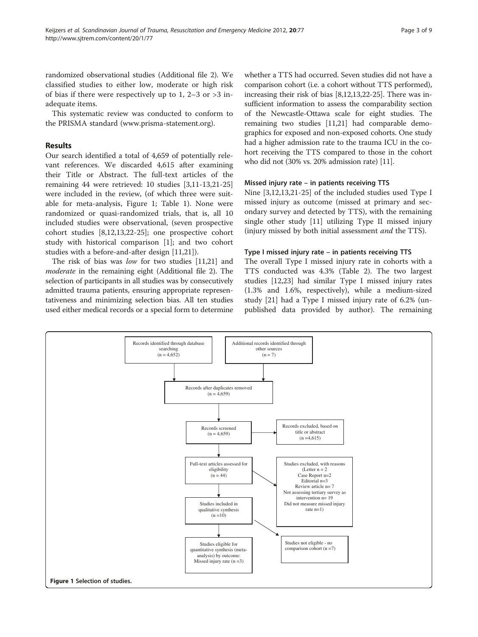randomized observational studies (Additional file [2](#page-7-0)). We classified studies to either low, moderate or high risk of bias if there were respectively up to 1, 2–3 or >3 inadequate items.

This systematic review was conducted to conform to the PRISMA standard [\(www.prisma-statement.org\)](http://www.prisma-statement.org).

# Results

Our search identified a total of 4,659 of potentially relevant references. We discarded 4,615 after examining their Title or Abstract. The full-text articles of the remaining 44 were retrieved: 10 studies [[3,11-13,21-25](#page-8-0)] were included in the review, (of which three were suitable for meta-analysis, Figure 1; Table [1](#page-3-0)). None were randomized or quasi-randomized trials, that is, all 10 included studies were observational, (seven prospective cohort studies [\[8,12,13,22-25](#page-8-0)]; one prospective cohort study with historical comparison [[1\]](#page-8-0); and two cohort studies with a before-and-after design [\[11,21](#page-8-0)]).

The risk of bias was low for two studies [[11,21\]](#page-8-0) and moderate in the remaining eight (Additional file [2](#page-7-0)). The selection of participants in all studies was by consecutively admitted trauma patients, ensuring appropriate representativeness and minimizing selection bias. All ten studies used either medical records or a special form to determine whether a TTS had occurred. Seven studies did not have a comparison cohort (i.e. a cohort without TTS performed), increasing their risk of bias [\[8,12](#page-8-0),[13,22-25](#page-8-0)]. There was insufficient information to assess the comparability section of the Newcastle-Ottawa scale for eight studies. The remaining two studies [[11,21](#page-8-0)] had comparable demographics for exposed and non-exposed cohorts. One study had a higher admission rate to the trauma ICU in the cohort receiving the TTS compared to those in the cohort who did not (30% vs. 20% admission rate) [[11](#page-8-0)].

# Missed injury rate – in patients receiving TTS

Nine [\[3,12,13,21-25](#page-8-0)] of the included studies used Type I missed injury as outcome (missed at primary and secondary survey and detected by TTS), with the remaining single other study [\[11](#page-8-0)] utilizing Type II missed injury (injury missed by both initial assessment and the TTS).

# Type I missed injury rate – in patients receiving TTS

The overall Type I missed injury rate in cohorts with a TTS conducted was 4.3% (Table [2](#page-4-0)). The two largest studies [\[12,23\]](#page-8-0) had similar Type I missed injury rates (1.3% and 1.6%, respectively), while a medium-sized study [[21](#page-8-0)] had a Type I missed injury rate of 6.2% (unpublished data provided by author). The remaining

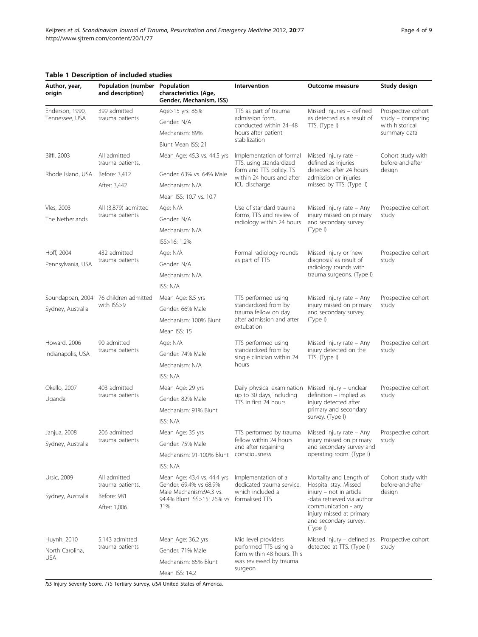# <span id="page-3-0"></span>Table 1 Description of included studies

| Author, year,<br>origin | Population (number Population<br>and description)        | characteristics (Age,<br>Gender, Mechanism, ISS)      | Intervention                                                | Outcome measure                                                                                           | Study design                          |  |
|-------------------------|----------------------------------------------------------|-------------------------------------------------------|-------------------------------------------------------------|-----------------------------------------------------------------------------------------------------------|---------------------------------------|--|
| Enderson, 1990,         | 399 admitted<br>Age>15 yrs: 86%<br>TTS as part of trauma |                                                       |                                                             | Missed injuries - defined                                                                                 | Prospective cohort                    |  |
| Tennessee, USA          | trauma patients                                          | Gender: N/A                                           | admission form,<br>conducted within 24-48                   | as detected as a result of<br>TTS. (Type I)                                                               | study - comparing<br>with historical  |  |
|                         |                                                          | Mechanism: 89%                                        | hours after patient                                         |                                                                                                           | summary data                          |  |
|                         |                                                          | Blunt Mean ISS: 21                                    | stabilization                                               |                                                                                                           |                                       |  |
| Biffl, 2003             | All admitted<br>trauma patients.                         | Mean Age: 45.3 vs. 44.5 yrs                           | Implementation of formal<br>TTS, using standardized         | Missed injury rate $-$<br>defined as injuries                                                             | Cohort study with<br>before-and-after |  |
| Rhode Island, USA       | Before: 3,412                                            | Gender: 63% vs. 64% Male                              | form and TTS policy. TS<br>within 24 hours and after        | detected after 24 hours<br>admission or injuries                                                          | design                                |  |
|                         | After: 3,442                                             | Mechanism: N/A                                        | ICU discharge                                               | missed by TTS. (Type II)                                                                                  |                                       |  |
|                         |                                                          | Mean ISS: 10.7 vs. 10.7                               |                                                             |                                                                                                           |                                       |  |
| Vles, 2003              | All (3,879) admitted                                     | Age: N/A                                              | Use of standard trauma                                      | Missed injury rate - Any                                                                                  | Prospective cohort                    |  |
| The Netherlands         | trauma patients                                          | Gender: N/A                                           | forms, TTS and review of<br>radiology within 24 hours       | injury missed on primary<br>and secondary survey.                                                         | study                                 |  |
|                         |                                                          | Mechanism: N/A                                        |                                                             | (Type I)                                                                                                  |                                       |  |
|                         |                                                          | ISS>16: 1.2%                                          |                                                             |                                                                                                           |                                       |  |
| Hoff, 2004              | 432 admitted                                             | Age: N/A                                              | Formal radiology rounds                                     | Missed injury or 'new                                                                                     | Prospective cohort                    |  |
| Pennsylvania, USA       | trauma patients                                          | Gender: N/A                                           | as part of TTS                                              | diagnosis' as result of<br>radiology rounds with                                                          | study                                 |  |
|                         |                                                          | Mechanism: N/A                                        |                                                             | trauma surgeons. (Type I)                                                                                 |                                       |  |
|                         |                                                          | ISS: N/A                                              |                                                             |                                                                                                           |                                       |  |
|                         | Soundappan, 2004 76 children admitted                    | Mean Age: 8.5 yrs                                     | TTS performed using                                         | Missed injury rate - Any                                                                                  | Prospective cohort<br>study           |  |
| Sydney, Australia       | with ISS>9                                               | Gender: 66% Male                                      | standardized from by<br>trauma fellow on day                | injury missed on primary<br>and secondary survey.                                                         |                                       |  |
|                         |                                                          | Mechanism: 100% Blunt                                 | after admission and after                                   | (Type I)                                                                                                  |                                       |  |
|                         | Mean ISS: 15                                             | extubation                                            |                                                             |                                                                                                           |                                       |  |
| Howard, 2006            | 90 admitted                                              | Age: N/A                                              | TTS performed using                                         | Missed injury rate - Any<br>injury detected on the<br>TTS. (Type I)                                       | Prospective cohort<br>study           |  |
| Indianapolis, USA       | trauma patients                                          | Gender: 74% Male                                      | standardized from by<br>single clinician within 24<br>hours |                                                                                                           |                                       |  |
|                         |                                                          | Mechanism: N/A                                        |                                                             |                                                                                                           |                                       |  |
|                         |                                                          | ISS: N/A                                              |                                                             |                                                                                                           |                                       |  |
| Okello, 2007            | 403 admitted                                             | Mean Age: 29 yrs                                      | Daily physical examination                                  | Missed Injury - unclear                                                                                   | Prospective cohort<br>study           |  |
| Uganda                  | trauma patients                                          | Gender: 82% Male                                      | up to 30 days, including<br>TTS in first 24 hours           | definition - implied as<br>injury detected after<br>primary and secondary                                 |                                       |  |
|                         |                                                          | Mechanism: 91% Blunt                                  |                                                             |                                                                                                           |                                       |  |
|                         |                                                          | ISS: N/A                                              |                                                             | survey. (Type I)                                                                                          |                                       |  |
| Janjua, 2008            | 206 admitted                                             | Mean Age: 35 yrs                                      | TTS performed by trauma                                     | Missed injury rate - Any                                                                                  | Prospective cohort                    |  |
| Sydney, Australia       | trauma patients                                          | Gender: 75% Male                                      | fellow within 24 hours<br>and after regaining               | iniury missed on primary<br>and secondary survey and                                                      | study                                 |  |
|                         |                                                          | Mechanism: 91-100% Blunt                              | consciousness                                               | operating room. (Type I)                                                                                  |                                       |  |
|                         |                                                          | ISS: N/A                                              |                                                             |                                                                                                           |                                       |  |
| Ursic, 2009             | All admitted<br>trauma patients.                         | Mean Age: 43.4 vs. 44.4 yrs<br>Gender: 69.4% vs 68.9% | Implementation of a<br>dedicated trauma service.            | Mortality and Length of<br>Hospital stay. Missed<br>injury - not in article<br>-data retrieved via author | Cohort study with<br>before-and-after |  |
| Sydney, Australia       | Before: 981                                              | Male Mechanism:94.3 vs.<br>94.4% Blunt ISS>15: 26% vs | which included a<br>formalised TTS                          |                                                                                                           | design                                |  |
|                         | After: 1,006                                             | 31%                                                   |                                                             | communication - any<br>injury missed at primary<br>and secondary survey.<br>(Type I)                      |                                       |  |
| Huynh, 2010             | 5,143 admitted                                           | Mean Age: 36.2 yrs                                    | Mid level providers                                         | Missed injury - defined as                                                                                | Prospective cohort                    |  |
| North Carolina,         | trauma patients                                          | Gender: 71% Male                                      | performed TTS using a<br>form within 48 hours. This         | detected at TTS. (Type I)                                                                                 | study                                 |  |
| USA                     |                                                          | Mechanism: 85% Blunt                                  | was reviewed by trauma                                      |                                                                                                           |                                       |  |
|                         |                                                          | Mean ISS: 14.2                                        | surgeon                                                     |                                                                                                           |                                       |  |

ISS Injury Severity Score, TTS Tertiary Survey, USA United States of America.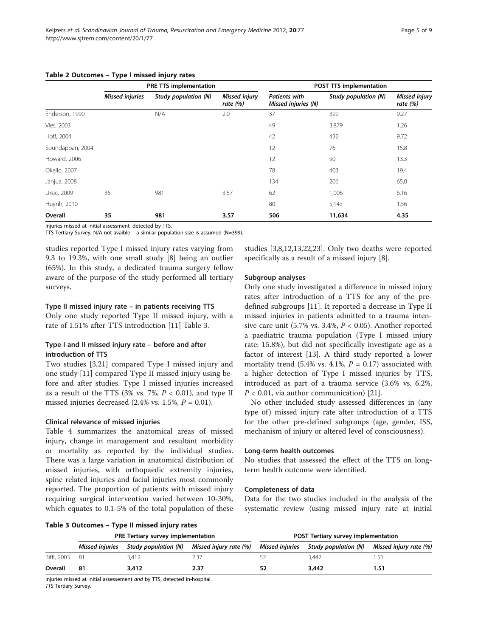#### <span id="page-4-0"></span>Table 2 Outcomes – Type I missed injury rates

|                  | <b>PRE TTS implementation</b> |                      |                                     | POST TTS implementation                     |                      |                                    |
|------------------|-------------------------------|----------------------|-------------------------------------|---------------------------------------------|----------------------|------------------------------------|
|                  | <b>Missed injuries</b>        | Study population (N) | <b>Missed injury</b><br>rate $(\%)$ | <b>Patients with</b><br>Missed injuries (N) | Study population (N) | <b>Missed injury</b><br>rate $(%)$ |
| Enderson, 1990   |                               | N/A                  | 2.0                                 | 37                                          | 399                  | 9.27                               |
| Vles, 2003       |                               |                      |                                     | 49                                          | 3,879                | 1.26                               |
| Hoff, 2004       |                               |                      |                                     | 42                                          | 432                  | 9.72                               |
| Soundappan, 2004 |                               |                      |                                     | 12                                          | 76                   | 15.8                               |
| Howard, 2006     |                               |                      |                                     | 12                                          | 90                   | 13.3                               |
| Okello, 2007     |                               |                      |                                     | 78                                          | 403                  | 19.4                               |
| Janjua, 2008     |                               |                      |                                     | 134                                         | 206                  | 65.0                               |
| Ursic, 2009      | 35                            | 981                  | 3.57                                | 62                                          | 1,006                | 6.16                               |
| Huynh, 2010      |                               |                      |                                     | 80                                          | 5,143                | 1.56                               |
| Overall          | 35                            | 981                  | 3.57                                | 506                                         | 11,634               | 4.35                               |

Injuries missed at initial assessment, detected by TTS.

TTS Tertiary Survey, N/A not avaible – a similar population size is assumed (N=399).

studies reported Type I missed injury rates varying from 9.3 to 19.3%, with one small study [\[8](#page-8-0)] being an outlier (65%). In this study, a dedicated trauma surgery fellow aware of the purpose of the study performed all tertiary surveys.

#### Type II missed injury rate – in patients receiving TTS

Only one study reported Type II missed injury, with a rate of 1.51% after TTS introduction [[11\]](#page-8-0) Table 3.

# Type I and II missed injury rate – before and after introduction of TTS

Two studies [[3,21\]](#page-8-0) compared Type I missed injury and one study [[11](#page-8-0)] compared Type II missed injury using before and after studies. Type I missed injuries increased as a result of the TTS (3% vs. 7%,  $P < 0.01$ ), and type II missed injuries decreased (2.4% vs. 1.5%,  $P = 0.01$ ).

#### Clinical relevance of missed injuries

Table [4](#page-5-0) summarizes the anatomical areas of missed injury, change in management and resultant morbidity or mortality as reported by the individual studies. There was a large variation in anatomical distribution of missed injuries, with orthopaedic extremity injuries, spine related injuries and facial injuries most commonly reported. The proportion of patients with missed injury requiring surgical intervention varied between 10-30%, which equates to 0.1-5% of the total population of these

studies [[3,8,12,13,22,23\]](#page-8-0). Only two deaths were reported specifically as a result of a missed injury [\[8](#page-8-0)].

#### Subgroup analyses

Only one study investigated a difference in missed injury rates after introduction of a TTS for any of the predefined subgroups [\[11](#page-8-0)]. It reported a decrease in Type II missed injuries in patients admitted to a trauma intensive care unit (5.7% vs. 3.4%,  $P < 0.05$ ). Another reported a paediatric trauma population (Type I missed injury rate: 15.8%), but did not specifically investigate age as a factor of interest [\[13](#page-8-0)]. A third study reported a lower mortality trend (5.4% vs. 4.1%,  $P = 0.17$ ) associated with a higher detection of Type I missed injuries by TTS, introduced as part of a trauma service (3.6% vs. 6.2%,  $P < 0.01$ , via author communication) [\[21](#page-8-0)].

No other included study assessed differences in (any type of) missed injury rate after introduction of a TTS for the other pre-defined subgroups (age, gender, ISS, mechanism of injury or altered level of consciousness).

#### Long-term health outcomes

No studies that assessed the effect of the TTS on longterm health outcome were identified.

#### Completeness of data

Data for the two studies included in the analysis of the systematic review (using missed injury rate at initial

|  |  | Table 3 Outcomes - Type II missed injury rates |  |  |  |  |  |  |
|--|--|------------------------------------------------|--|--|--|--|--|--|
|--|--|------------------------------------------------|--|--|--|--|--|--|

|                |                        | PRE Tertiary survey implementation |                        |                 | POST Tertiary survey implementation |                        |  |
|----------------|------------------------|------------------------------------|------------------------|-----------------|-------------------------------------|------------------------|--|
|                | <b>Missed injuries</b> | <b>Study population (N)</b>        | Missed injury rate (%) | Missed injuries | <b>Study population (N)</b>         | Missed injury rate (%) |  |
| Biffl. 2003 81 |                        | 3.412                              |                        |                 | 3.442                               | د.                     |  |
| Overall        | 81                     | 3,412                              | 2.37                   |                 | 3,442                               | 1.51                   |  |

Injuries missed at initial assessement and by TTS, detected in-hospital. TTS Tertiary Survey.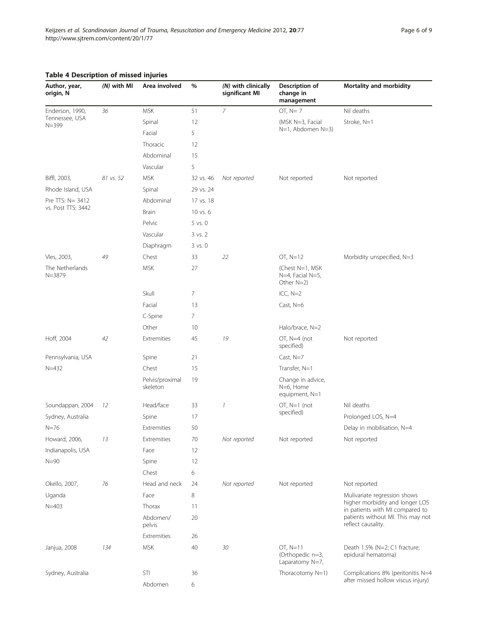# <span id="page-5-0"></span>Table 4 Description of missed injuries

| Author, year,<br>origin, N    | (N) with MI | Area involved               | %           | (N) with clinically<br>significant MI | Description of<br>change in<br>management            | Mortality and morbidity                                            |  |
|-------------------------------|-------------|-----------------------------|-------------|---------------------------------------|------------------------------------------------------|--------------------------------------------------------------------|--|
| Enderson, 1990,               | 36          | <b>MSK</b>                  | 51          | 7                                     | OT, $N=7$                                            | Nil deaths                                                         |  |
| Tennessee, USA<br>$N = 399$   |             | Spinal                      | 12          |                                       | (MSK N=3, Facial                                     | Stroke, N=1                                                        |  |
|                               |             | Facial                      | 5           |                                       | $N=1$ , Abdomen $N=3$ )                              |                                                                    |  |
|                               |             | Thoracic                    | 12          |                                       |                                                      |                                                                    |  |
|                               |             | Abdominal                   | 15          |                                       |                                                      |                                                                    |  |
|                               |             | Vascular                    | 5           |                                       |                                                      |                                                                    |  |
| Biffl, 2003,                  | 81 vs. 52   | <b>MSK</b>                  | 32 vs. 46   | Not reported                          | Not reported                                         | Not reported                                                       |  |
| Rhode Island, USA             |             | Spinal                      | 29 vs. 24   |                                       |                                                      |                                                                    |  |
| Pre TTS: N= 3412              |             | Abdominal                   | 17 vs. 18   |                                       |                                                      |                                                                    |  |
| vs. Post TTS: 3442            |             | <b>Brain</b>                | 10 vs. 6    |                                       |                                                      |                                                                    |  |
|                               |             | Pelvic                      | 5 vs. 0     |                                       |                                                      |                                                                    |  |
|                               |             | Vascular                    | $3$ vs. $2$ |                                       |                                                      |                                                                    |  |
|                               |             | Diaphragm                   | $3$ vs. $0$ |                                       |                                                      |                                                                    |  |
| Vles, 2003,                   | 49          | Chest                       | 33          | 22                                    | OT, $N=12$                                           | Morbidity unspecified, N=3                                         |  |
| The Netherlands<br>$N = 3879$ |             | <b>MSK</b>                  | 27          |                                       | (Chest N=1, MSK<br>N=4, Facial N=5,<br>Other $N=2$ ) |                                                                    |  |
|                               |             | Skull                       | 7           |                                       | ICC, $N=2$                                           |                                                                    |  |
|                               |             | Facial                      | 13          |                                       | Cast, $N=6$                                          |                                                                    |  |
|                               |             | C-Spine                     | 7           |                                       |                                                      |                                                                    |  |
|                               |             | Other                       | 10          |                                       | Halo/brace, N=2                                      |                                                                    |  |
| Hoff, 2004                    | 42          | Extremities                 | 45          | 19                                    | OT, N=4 (not<br>specified)                           | Not reported                                                       |  |
| Pennsylvania, USA             |             | Spine                       | 21          |                                       | Cast, N=7                                            |                                                                    |  |
| $N = 432$                     |             | Chest                       | 15          |                                       | Transfer, N=1                                        |                                                                    |  |
|                               |             | Pelvis/proximal<br>skeleton | 19          |                                       | Change in advice,<br>N=6, Home<br>equipment, N=1     |                                                                    |  |
| Soundappan, 2004              | 12          | Head/face                   | 33          | $\overline{1}$                        | OT, $N=1$ (not                                       | Nil deaths                                                         |  |
| Sydney, Australia             |             | Spine                       | 17          |                                       | specified)                                           | Prolonged LOS, N=4                                                 |  |
| $N = 76$                      |             | Extremities                 | 50          |                                       |                                                      | Delay in mobilisation, N=4                                         |  |
| Howard, 2006,                 | 13          | Extremities                 | 70          | Not reported                          | Not reported                                         | Not reported                                                       |  |
| Indianapolis, USA             |             | Face                        | 12          |                                       |                                                      |                                                                    |  |
| $N = 90$                      |             | Spine                       | 12          |                                       |                                                      |                                                                    |  |
|                               |             | Chest                       | 6           |                                       |                                                      |                                                                    |  |
| Okello, 2007,                 | 76          | Head and neck               | 24          | Not reported                          | Not reported                                         | Not reported                                                       |  |
| Uganda                        |             | Face                        | 8           |                                       |                                                      | Mulivariate regression shows                                       |  |
| $N = 403$                     |             | Thorax                      | 11          |                                       |                                                      | higher morbidity and longer LOS<br>in patients with MI compared to |  |
|                               |             | Abdomen/<br>pelvis          | 20          |                                       |                                                      | patients without MI. This may not<br>reflect causality.            |  |
|                               |             | Extremities                 | 26          |                                       |                                                      |                                                                    |  |
| Janjua, 2008                  | 134         | <b>MSK</b>                  | 40          | 30                                    | OT, $N=11$<br>(Orthopedic n=3,<br>Laparatomy N=7,    | Death 1.5% (N=2: C1 fracture;<br>epidural hematoma)                |  |
| Sydney, Australia             |             | STI                         | 36          |                                       | Thoracotomy N=1)                                     | Complications 8% (peritonitis N=4                                  |  |
|                               |             | Abdomen                     | 6           |                                       |                                                      | after missed hollow viscus injury)                                 |  |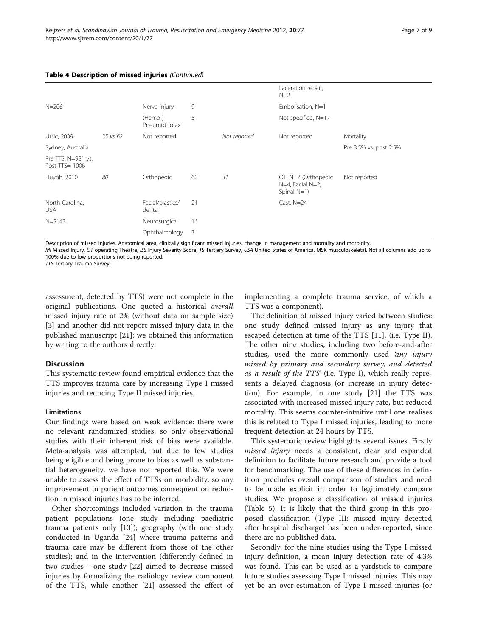#### Table 4 Description of missed injuries (Continued)

|                                      |          |                            |    |              | Laceration repair,<br>$N=2$                               |                        |
|--------------------------------------|----------|----------------------------|----|--------------|-----------------------------------------------------------|------------------------|
| $N = 206$                            |          | Nerve injury               | 9  |              | Embolisation, N=1                                         |                        |
|                                      |          | (Hemo-)<br>Pneumothorax    | 5  |              | Not specified, N=17                                       |                        |
| Ursic, 2009                          | 35 vs 62 | Not reported               |    | Not reported | Not reported                                              | Mortality              |
| Sydney, Australia                    |          |                            |    |              |                                                           | Pre 3.5% vs. post 2.5% |
| Pre TTS: N=981 vs.<br>Post TTS= 1006 |          |                            |    |              |                                                           |                        |
| Huynh, 2010                          | 80       | Orthopedic                 | 60 | 31           | OT, N=7 (Orthopedic<br>N=4, Facial N=2,<br>Spinal $N=1$ ) | Not reported           |
| North Carolina,<br><b>USA</b>        |          | Facial/plastics/<br>dental | 21 |              | Cast, $N=24$                                              |                        |
| $N = 5143$                           |          | Neurosurgical              | 16 |              |                                                           |                        |
|                                      |          | Ophthalmology              | 3  |              |                                                           |                        |

Description of missed injuries. Anatomical area, clinically significant missed injuries, change in management and mortality and morbidity.

MI Missed Injury, OT operating Theatre, ISS Injury Severity Score, TS Tertiary Survey, USA United States of America, MSK musculoskeletal. Not all columns add up to 100% due to low proportions not being reported.

TTS Tertiary Trauma Survey.

assessment, detected by TTS) were not complete in the original publications. One quoted a historical overall missed injury rate of 2% (without data on sample size) [[3\]](#page-8-0) and another did not report missed injury data in the published manuscript [\[21\]](#page-8-0): we obtained this information by writing to the authors directly.

#### Discussion

This systematic review found empirical evidence that the TTS improves trauma care by increasing Type I missed injuries and reducing Type II missed injuries.

#### Limitations

Our findings were based on weak evidence: there were no relevant randomized studies, so only observational studies with their inherent risk of bias were available. Meta-analysis was attempted, but due to few studies being eligible and being prone to bias as well as substantial heterogeneity, we have not reported this. We were unable to assess the effect of TTSs on morbidity, so any improvement in patient outcomes consequent on reduction in missed injuries has to be inferred.

Other shortcomings included variation in the trauma patient populations (one study including paediatric trauma patients only [\[13\]](#page-8-0)); geography (with one study conducted in Uganda [\[24\]](#page-8-0) where trauma patterns and trauma care may be different from those of the other studies); and in the intervention (differently defined in two studies - one study [[22\]](#page-8-0) aimed to decrease missed injuries by formalizing the radiology review component of the TTS, while another [[21\]](#page-8-0) assessed the effect of

implementing a complete trauma service, of which a TTS was a component).

The definition of missed injury varied between studies: one study defined missed injury as any injury that escaped detection at time of the TTS [\[11](#page-8-0)], (i.e. Type II). The other nine studies, including two before-and-after studies, used the more commonly used 'any injury missed by primary and secondary survey, and detected as a result of the TTS' (i.e. Type I), which really represents a delayed diagnosis (or increase in injury detection). For example, in one study [\[21](#page-8-0)] the TTS was associated with increased missed injury rate, but reduced mortality. This seems counter-intuitive until one realises this is related to Type I missed injuries, leading to more frequent detection at 24 hours by TTS.

This systematic review highlights several issues. Firstly missed injury needs a consistent, clear and expanded definition to facilitate future research and provide a tool for benchmarking. The use of these differences in definition precludes overall comparison of studies and need to be made explicit in order to legitimately compare studies. We propose a classification of missed injuries (Table [5\)](#page-7-0). It is likely that the third group in this proposed classification (Type III: missed injury detected after hospital discharge) has been under-reported, since there are no published data.

Secondly, for the nine studies using the Type I missed injury definition, a mean injury detection rate of 4.3% was found. This can be used as a yardstick to compare future studies assessing Type I missed injuries. This may yet be an over-estimation of Type I missed injuries (or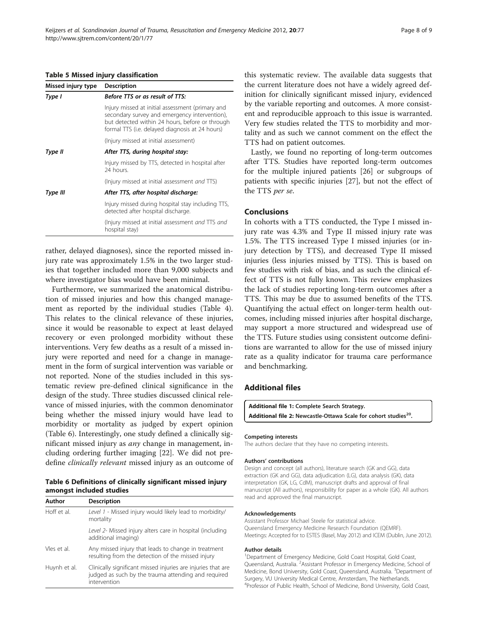#### <span id="page-7-0"></span>Table 5 Missed injury classification

| Missed injury type | <b>Description</b>                                                                                                                                                                                      |  |  |  |  |
|--------------------|---------------------------------------------------------------------------------------------------------------------------------------------------------------------------------------------------------|--|--|--|--|
| Type I             | Before TTS or as result of TTS:                                                                                                                                                                         |  |  |  |  |
|                    | Injury missed at initial assessment (primary and<br>secondary survey and emergency intervention),<br>but detected within 24 hours, before or through<br>formal TTS (i.e. delayed diagnosis at 24 hours) |  |  |  |  |
|                    | (Injury missed at initial assessment)                                                                                                                                                                   |  |  |  |  |
| Type II            | After TTS, during hospital stay:                                                                                                                                                                        |  |  |  |  |
|                    | Injury missed by TTS, detected in hospital after<br>24 hours                                                                                                                                            |  |  |  |  |
|                    | (Injury missed at initial assessment <i>and</i> TTS)                                                                                                                                                    |  |  |  |  |
| <b>Type III</b>    | After TTS, after hospital discharge:                                                                                                                                                                    |  |  |  |  |
|                    | Injury missed during hospital stay including TTS,<br>detected after hospital discharge.                                                                                                                 |  |  |  |  |
|                    | (Injury missed at initial assessment and TTS and<br>hospital stay)                                                                                                                                      |  |  |  |  |

rather, delayed diagnoses), since the reported missed injury rate was approximately 1.5% in the two larger studies that together included more than 9,000 subjects and where investigator bias would have been minimal.

Furthermore, we summarized the anatomical distribution of missed injuries and how this changed management as reported by the individual studies (Table [4](#page-5-0)). This relates to the clinical relevance of these injuries, since it would be reasonable to expect at least delayed recovery or even prolonged morbidity without these interventions. Very few deaths as a result of a missed injury were reported and need for a change in management in the form of surgical intervention was variable or not reported. None of the studies included in this systematic review pre-defined clinical significance in the design of the study. Three studies discussed clinical relevance of missed injuries, with the common denominator being whether the missed injury would have lead to morbidity or mortality as judged by expert opinion (Table 6). Interestingly, one study defined a clinically significant missed injury as any change in management, including ordering further imaging [[22\]](#page-8-0). We did not predefine clinically relevant missed injury as an outcome of

Table 6 Definitions of clinically significant missed injury amongst included studies

| Author       | <b>Description</b>                                                                                                                  |
|--------------|-------------------------------------------------------------------------------------------------------------------------------------|
| Hoff et al.  | Level 1 - Missed injury would likely lead to morbidity/<br>mortality                                                                |
|              | Level 2- Missed injury alters care in hospital (including<br>additional imaging)                                                    |
| Vles et al.  | Any missed injury that leads to change in treatment<br>resulting from the detection of the missed injury                            |
| Huynh et al. | Clinically significant missed injuries are injuries that are<br>judged as such by the trauma attending and required<br>intervention |
|              |                                                                                                                                     |

this systematic review. The available data suggests that the current literature does not have a widely agreed definition for clinically significant missed injury, evidenced by the variable reporting and outcomes. A more consistent and reproducible approach to this issue is warranted. Very few studies related the TTS to morbidity and mortality and as such we cannot comment on the effect the TTS had on patient outcomes.

Lastly, we found no reporting of long-term outcomes after TTS. Studies have reported long-term outcomes for the multiple injured patients [\[26\]](#page-8-0) or subgroups of patients with specific injuries [[27\]](#page-8-0), but not the effect of the TTS per se.

# Conclusions

In cohorts with a TTS conducted, the Type I missed injury rate was 4.3% and Type II missed injury rate was 1.5%. The TTS increased Type I missed injuries (or injury detection by TTS), and decreased Type II missed injuries (less injuries missed by TTS). This is based on few studies with risk of bias, and as such the clinical effect of TTS is not fully known. This review emphasizes the lack of studies reporting long-term outcomes after a TTS. This may be due to assumed benefits of the TTS. Quantifying the actual effect on longer-term health outcomes, including missed injuries after hospital discharge, may support a more structured and widespread use of the TTS. Future studies using consistent outcome definitions are warranted to allow for the use of missed injury rate as a quality indicator for trauma care performance and benchmarking.

# Additional files

[Additional file 1:](http://www.biomedcentral.com/content/supplementary/1757-7241-20-77-S1.doc) Complete Search Strategy. [Additional file 2:](http://www.biomedcentral.com/content/supplementary/1757-7241-20-77-S2.doc) Newcastle-Ottawa Scale for cohort studies<sup>20</sup>.

#### Competing interests

The authors declare that they have no competing interests.

#### Authors' contributions

Design and concept (all authors), literature search (GK and GG), data extraction (GK and GG), data adjudication (LG), data analysis (GK), data interpretation (GK, LG, CdM), manuscript drafts and approval of final manuscript (All authors), responsibility for paper as a whole (GK). All authors read and approved the final manuscript.

#### Acknowledgements

Assistant Professor Michael Steele for statistical advice. Queensland Emergency Medicine Research Foundation (QEMRF). Meetings: Accepted for to ESTES (Basel, May 2012) and ICEM (Dublin, June 2012).

#### Author details

<sup>1</sup>Department of Emergency Medicine, Gold Coast Hospital, Gold Coast Queensland, Australia. <sup>2</sup> Assistant Professor in Emergency Medicine, School of Medicine, Bond University, Gold Coast, Queensland, Australia. <sup>3</sup>Department of Surgery, VU University Medical Centre, Amsterdam, The Netherlands. 4 Professor of Public Health, School of Medicine, Bond University, Gold Coast,